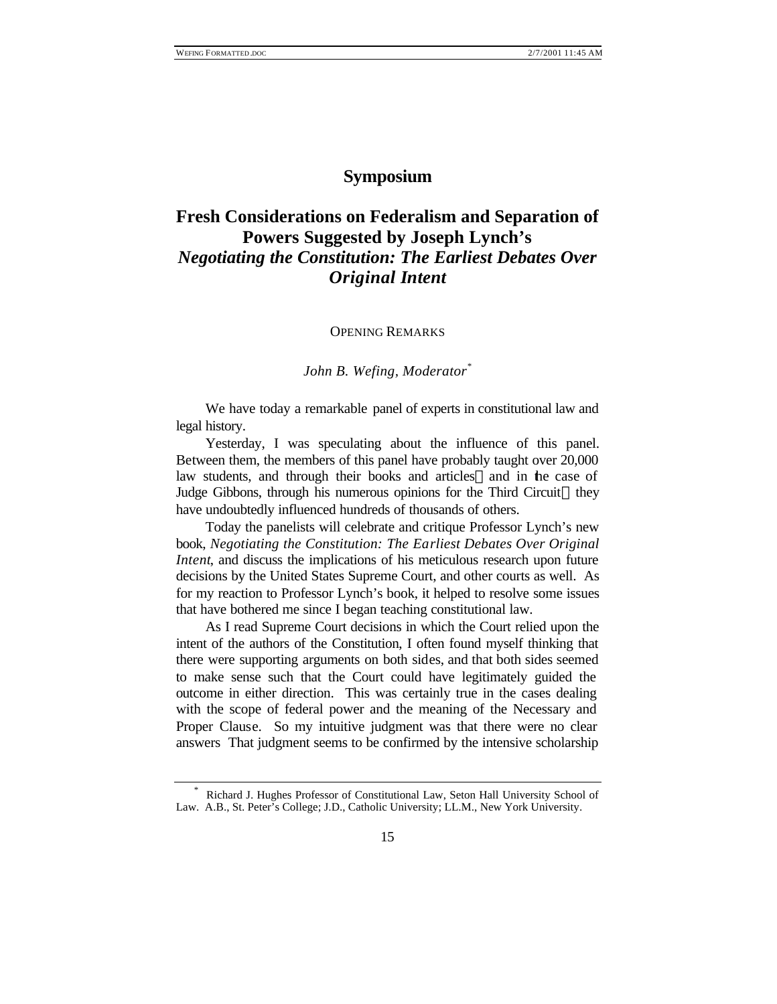## **Symposium**

## **Fresh Considerations on Federalism and Separation of Powers Suggested by Joseph Lynch's**  *Negotiating the Constitution: The Earliest Debates Over Original Intent*

OPENING REMARKS

*John B. Wefing, Moderator\**

We have today a remarkable panel of experts in constitutional law and legal history.

Yesterday, I was speculating about the influence of this panel. Between them, the members of this panel have probably taught over 20,000 law students, and through their books and articles—and in the case of Judge Gibbons, through his numerous opinions for the Third Circuit—they have undoubtedly influenced hundreds of thousands of others.

Today the panelists will celebrate and critique Professor Lynch's new book, *Negotiating the Constitution: The Earliest Debates Over Original Intent*, and discuss the implications of his meticulous research upon future decisions by the United States Supreme Court, and other courts as well. As for my reaction to Professor Lynch's book, it helped to resolve some issues that have bothered me since I began teaching constitutional law.

As I read Supreme Court decisions in which the Court relied upon the intent of the authors of the Constitution, I often found myself thinking that there were supporting arguments on both sides, and that both sides seemed to make sense such that the Court could have legitimately guided the outcome in either direction. This was certainly true in the cases dealing with the scope of federal power and the meaning of the Necessary and Proper Clause. So my intuitive judgment was that there were no clear answers That judgment seems to be confirmed by the intensive scholarship

<sup>\*</sup> Richard J. Hughes Professor of Constitutional Law, Seton Hall University School of Law. A.B., St. Peter's College; J.D., Catholic University; LL.M., New York University.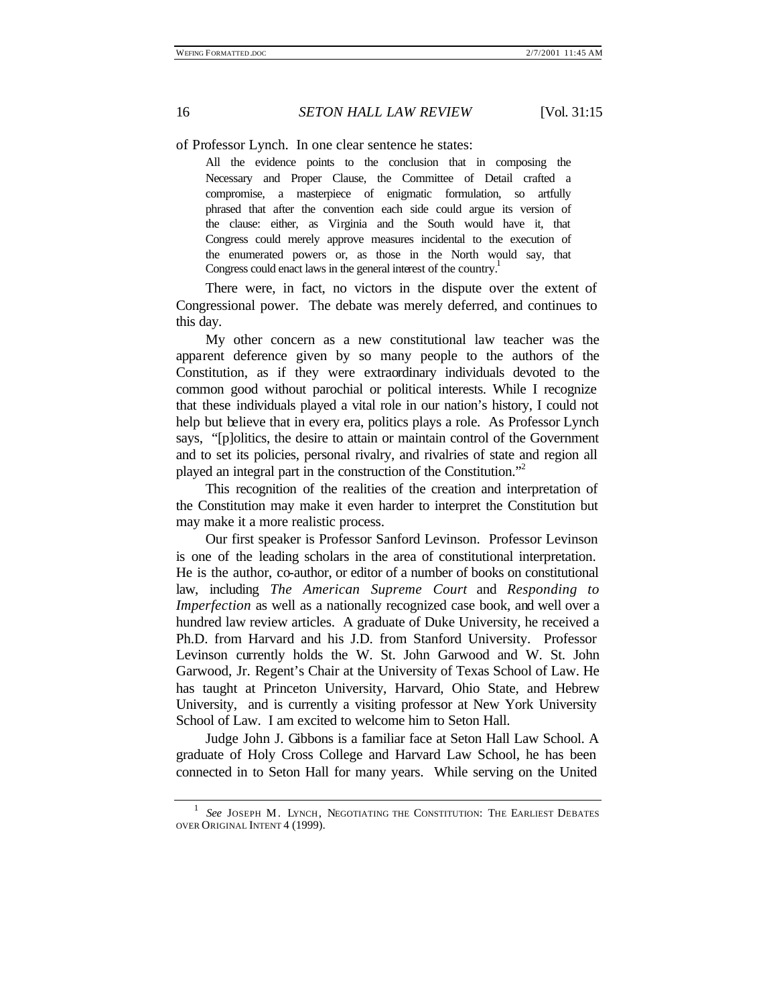## 16 *SETON HALL LAW REVIEW* [Vol. 31:15

of Professor Lynch. In one clear sentence he states:

All the evidence points to the conclusion that in composing the Necessary and Proper Clause, the Committee of Detail crafted a compromise, a masterpiece of enigmatic formulation, so artfully phrased that after the convention each side could argue its version of the clause: either, as Virginia and the South would have it, that Congress could merely approve measures incidental to the execution of the enumerated powers or, as those in the North would say, that Congress could enact laws in the general interest of the country.<sup>1</sup>

There were, in fact, no victors in the dispute over the extent of Congressional power. The debate was merely deferred, and continues to this day.

My other concern as a new constitutional law teacher was the apparent deference given by so many people to the authors of the Constitution, as if they were extraordinary individuals devoted to the common good without parochial or political interests. While I recognize that these individuals played a vital role in our nation's history, I could not help but believe that in every era, politics plays a role. As Professor Lynch says, "[p]olitics, the desire to attain or maintain control of the Government and to set its policies, personal rivalry, and rivalries of state and region all played an integral part in the construction of the Constitution."<sup>2</sup>

This recognition of the realities of the creation and interpretation of the Constitution may make it even harder to interpret the Constitution but may make it a more realistic process.

Our first speaker is Professor Sanford Levinson. Professor Levinson is one of the leading scholars in the area of constitutional interpretation. He is the author, co-author, or editor of a number of books on constitutional law, including *The American Supreme Court* and *Responding to Imperfection* as well as a nationally recognized case book, and well over a hundred law review articles. A graduate of Duke University, he received a Ph.D. from Harvard and his J.D. from Stanford University. Professor Levinson currently holds the W. St. John Garwood and W. St. John Garwood, Jr. Regent's Chair at the University of Texas School of Law. He has taught at Princeton University, Harvard, Ohio State, and Hebrew University, and is currently a visiting professor at New York University School of Law. I am excited to welcome him to Seton Hall.

Judge John J. Gibbons is a familiar face at Seton Hall Law School. A graduate of Holy Cross College and Harvard Law School, he has been connected in to Seton Hall for many years. While serving on the United

<sup>1</sup> *See* JOSEPH M. LYNCH, NEGOTIATING THE CONSTITUTION: THE EARLIEST DEBATES OVER ORIGINAL INTENT 4 (1999).